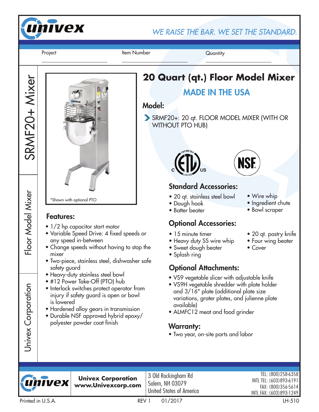